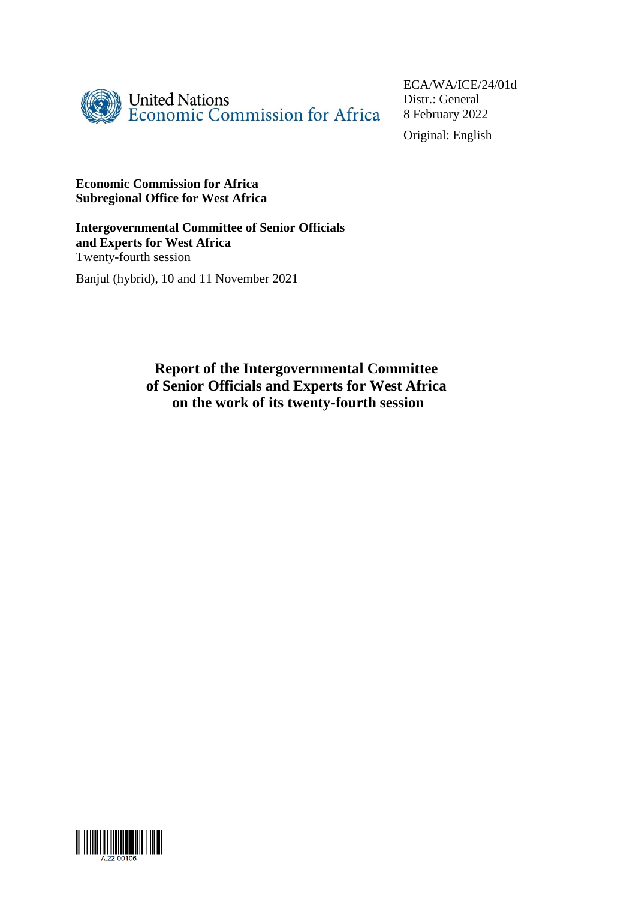

ECA/WA/ICE/24/01d Distr.: General 8 February 2022 Original: English

#### **Economic Commission for Africa Subregional Office for West Africa**

**Intergovernmental Committee of Senior Officials and Experts for West Africa** Twenty-fourth session

Banjul (hybrid), 10 and 11 November 2021

**Report of the Intergovernmental Committee of Senior Officials and Experts for West Africa on the work of its twenty-fourth session**

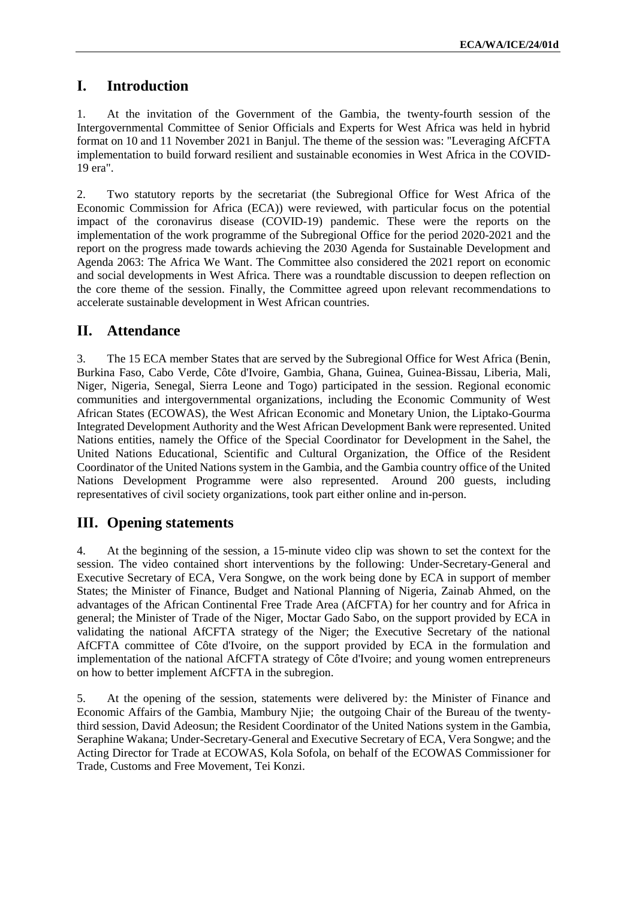## **I. Introduction**

1. At the invitation of the Government of the Gambia, the twenty-fourth session of the Intergovernmental Committee of Senior Officials and Experts for West Africa was held in hybrid format on 10 and 11 November 2021 in Banjul. The theme of the session was: "Leveraging AfCFTA implementation to build forward resilient and sustainable economies in West Africa in the COVID-19 era".

2. Two statutory reports by the secretariat (the Subregional Office for West Africa of the Economic Commission for Africa (ECA)) were reviewed, with particular focus on the potential impact of the coronavirus disease (COVID-19) pandemic. These were the reports on the implementation of the work programme of the Subregional Office for the period 2020-2021 and the report on the progress made towards achieving the 2030 Agenda for Sustainable Development and Agenda 2063: The Africa We Want. The Committee also considered the 2021 report on economic and social developments in West Africa. There was a roundtable discussion to deepen reflection on the core theme of the session. Finally, the Committee agreed upon relevant recommendations to accelerate sustainable development in West African countries.

### **II. Attendance**

3. The 15 ECA member States that are served by the Subregional Office for West Africa (Benin, Burkina Faso, Cabo Verde, Côte d'Ivoire, Gambia, Ghana, Guinea, Guinea-Bissau, Liberia, Mali, Niger, Nigeria, Senegal, Sierra Leone and Togo) participated in the session. Regional economic communities and intergovernmental organizations, including the Economic Community of West African States (ECOWAS), the West African Economic and Monetary Union, the Liptako-Gourma Integrated Development Authority and the West African Development Bank were represented. United Nations entities, namely the Office of the Special Coordinator for Development in the Sahel, the United Nations Educational, Scientific and Cultural Organization, the Office of the Resident Coordinator of the United Nations system in the Gambia, and the Gambia country office of the United Nations Development Programme were also represented. Around 200 guests, including representatives of civil society organizations, took part either online and in-person.

## **III. Opening statements**

4. At the beginning of the session, a 15-minute video clip was shown to set the context for the session. The video contained short interventions by the following: Under-Secretary-General and Executive Secretary of ECA, Vera Songwe, on the work being done by ECA in support of member States; the Minister of Finance, Budget and National Planning of Nigeria, Zainab Ahmed, on the advantages of the African Continental Free Trade Area (AfCFTA) for her country and for Africa in general; the Minister of Trade of the Niger, Moctar Gado Sabo, on the support provided by ECA in validating the national AfCFTA strategy of the Niger; the Executive Secretary of the national AfCFTA committee of Côte d'Ivoire, on the support provided by ECA in the formulation and implementation of the national AfCFTA strategy of Côte d'Ivoire; and young women entrepreneurs on how to better implement AfCFTA in the subregion.

5. At the opening of the session, statements were delivered by: the Minister of Finance and Economic Affairs of the Gambia, Mambury Njie; the outgoing Chair of the Bureau of the twentythird session, David Adeosun; the Resident Coordinator of the United Nations system in the Gambia, Seraphine Wakana; Under-Secretary-General and Executive Secretary of ECA, Vera Songwe; and the Acting Director for Trade at ECOWAS, Kola Sofola, on behalf of the ECOWAS Commissioner for Trade, Customs and Free Movement, Tei Konzi.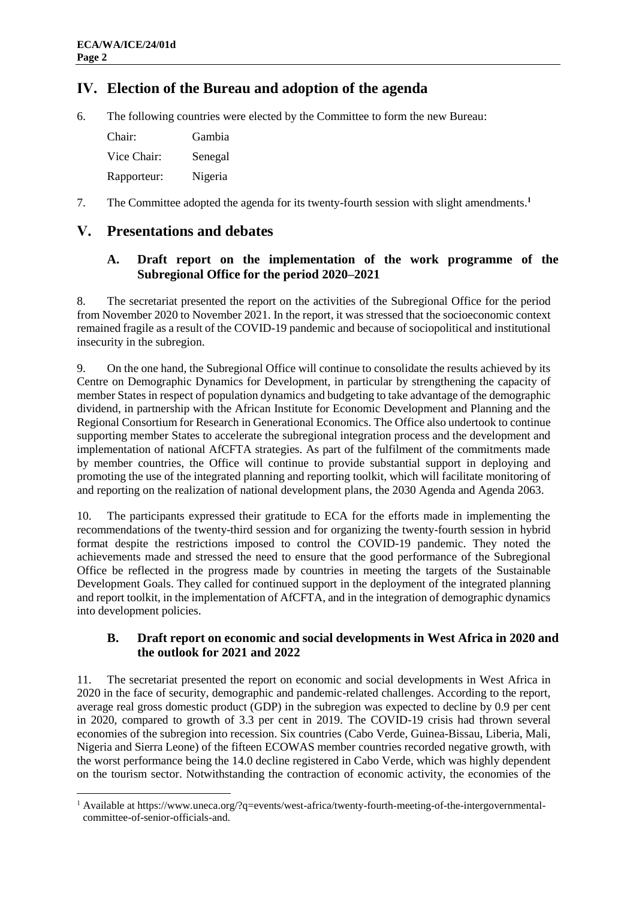# **IV. Election of the Bureau and adoption of the agenda**

6. The following countries were elected by the Committee to form the new Bureau:

| Chair:      | Gambia  |
|-------------|---------|
| Vice Chair: | Senegal |
| Rapporteur: | Nigeria |

7. The Committee adopted the agenda for its twenty-fourth session with slight amendments.**<sup>1</sup>**

# **V. Presentations and debates**

#### **A. Draft report on the implementation of the work programme of the Subregional Office for the period 2020–2021**

8. The secretariat presented the report on the activities of the Subregional Office for the period from November 2020 to November 2021. In the report, it was stressed that the socioeconomic context remained fragile as a result of the COVID-19 pandemic and because of sociopolitical and institutional insecurity in the subregion.

9. On the one hand, the Subregional Office will continue to consolidate the results achieved by its Centre on Demographic Dynamics for Development, in particular by strengthening the capacity of member States in respect of population dynamics and budgeting to take advantage of the demographic dividend, in partnership with the African Institute for Economic Development and Planning and the Regional Consortium for Research in Generational Economics. The Office also undertook to continue supporting member States to accelerate the subregional integration process and the development and implementation of national AfCFTA strategies. As part of the fulfilment of the commitments made by member countries, the Office will continue to provide substantial support in deploying and promoting the use of the integrated planning and reporting toolkit, which will facilitate monitoring of and reporting on the realization of national development plans, the 2030 Agenda and Agenda 2063.

10. The participants expressed their gratitude to ECA for the efforts made in implementing the recommendations of the twenty-third session and for organizing the twenty-fourth session in hybrid format despite the restrictions imposed to control the COVID-19 pandemic. They noted the achievements made and stressed the need to ensure that the good performance of the Subregional Office be reflected in the progress made by countries in meeting the targets of the Sustainable Development Goals. They called for continued support in the deployment of the integrated planning and report toolkit, in the implementation of AfCFTA, and in the integration of demographic dynamics into development policies.

### **B. Draft report on economic and social developments in West Africa in 2020 and the outlook for 2021 and 2022**

11. The secretariat presented the report on economic and social developments in West Africa in 2020 in the face of security, demographic and pandemic-related challenges. According to the report, average real gross domestic product (GDP) in the subregion was expected to decline by 0.9 per cent in 2020, compared to growth of 3.3 per cent in 2019. The COVID-19 crisis had thrown several economies of the subregion into recession. Six countries (Cabo Verde, Guinea-Bissau, Liberia, Mali, Nigeria and Sierra Leone) of the fifteen ECOWAS member countries recorded negative growth, with the worst performance being the 14.0 decline registered in Cabo Verde, which was highly dependent on the tourism sector. Notwithstanding the contraction of economic activity, the economies of the

<sup>1</sup> <sup>1</sup> Available at https://www.uneca.org/?q=events/west-africa/twenty-fourth-meeting-of-the-intergovernmentalcommittee-of-senior-officials-and.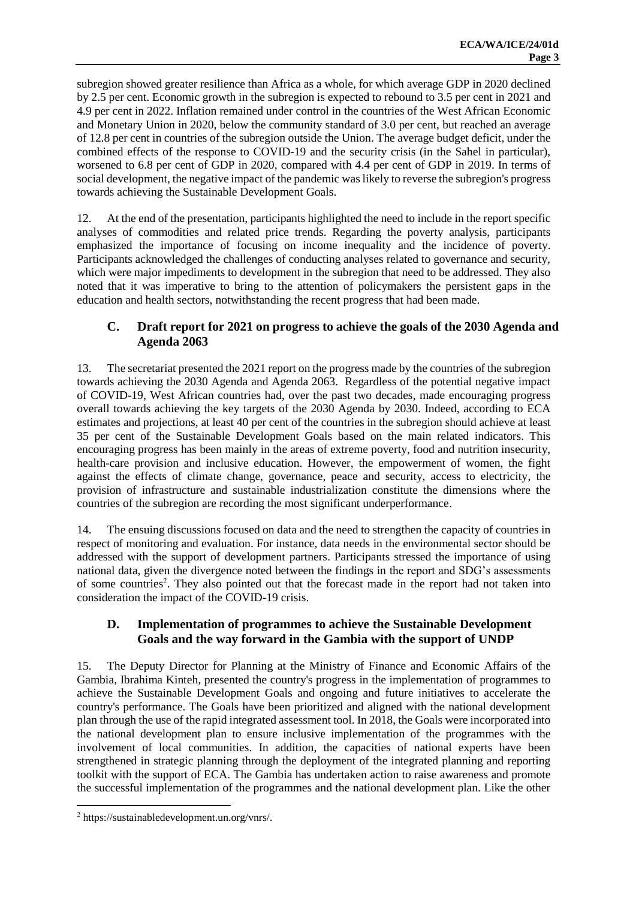subregion showed greater resilience than Africa as a whole, for which average GDP in 2020 declined by 2.5 per cent. Economic growth in the subregion is expected to rebound to 3.5 per cent in 2021 and 4.9 per cent in 2022. Inflation remained under control in the countries of the West African Economic and Monetary Union in 2020, below the community standard of 3.0 per cent, but reached an average of 12.8 per cent in countries of the subregion outside the Union. The average budget deficit, under the combined effects of the response to COVID-19 and the security crisis (in the Sahel in particular), worsened to 6.8 per cent of GDP in 2020, compared with 4.4 per cent of GDP in 2019. In terms of social development, the negative impact of the pandemic waslikely to reverse the subregion's progress towards achieving the Sustainable Development Goals.

12. At the end of the presentation, participants highlighted the need to include in the report specific analyses of commodities and related price trends. Regarding the poverty analysis, participants emphasized the importance of focusing on income inequality and the incidence of poverty. Participants acknowledged the challenges of conducting analyses related to governance and security, which were major impediments to development in the subregion that need to be addressed. They also noted that it was imperative to bring to the attention of policymakers the persistent gaps in the education and health sectors, notwithstanding the recent progress that had been made.

#### **C. Draft report for 2021 on progress to achieve the goals of the 2030 Agenda and Agenda 2063**

13. The secretariat presented the 2021 report on the progress made by the countries of the subregion towards achieving the 2030 Agenda and Agenda 2063. Regardless of the potential negative impact of COVID-19, West African countries had, over the past two decades, made encouraging progress overall towards achieving the key targets of the 2030 Agenda by 2030. Indeed, according to ECA estimates and projections, at least 40 per cent of the countries in the subregion should achieve at least 35 per cent of the Sustainable Development Goals based on the main related indicators. This encouraging progress has been mainly in the areas of extreme poverty, food and nutrition insecurity, health-care provision and inclusive education. However, the empowerment of women, the fight against the effects of climate change, governance, peace and security, access to electricity, the provision of infrastructure and sustainable industrialization constitute the dimensions where the countries of the subregion are recording the most significant underperformance.

14. The ensuing discussions focused on data and the need to strengthen the capacity of countries in respect of monitoring and evaluation. For instance, data needs in the environmental sector should be addressed with the support of development partners. Participants stressed the importance of using national data, given the divergence noted between the findings in the report and SDG's assessments of some countries<sup>2</sup>. They also pointed out that the forecast made in the report had not taken into consideration the impact of the COVID-19 crisis.

#### **D. Implementation of programmes to achieve the Sustainable Development Goals and the way forward in the Gambia with the support of UNDP**

15. The Deputy Director for Planning at the Ministry of Finance and Economic Affairs of the Gambia, Ibrahima Kinteh, presented the country's progress in the implementation of programmes to achieve the Sustainable Development Goals and ongoing and future initiatives to accelerate the country's performance. The Goals have been prioritized and aligned with the national development plan through the use of the rapid integrated assessment tool. In 2018, the Goals were incorporated into the national development plan to ensure inclusive implementation of the programmes with the involvement of local communities. In addition, the capacities of national experts have been strengthened in strategic planning through the deployment of the integrated planning and reporting toolkit with the support of ECA. The Gambia has undertaken action to raise awareness and promote the successful implementation of the programmes and the national development plan. Like the other

<u>.</u>

<sup>2</sup> https://sustainabledevelopment.un.org/vnrs/.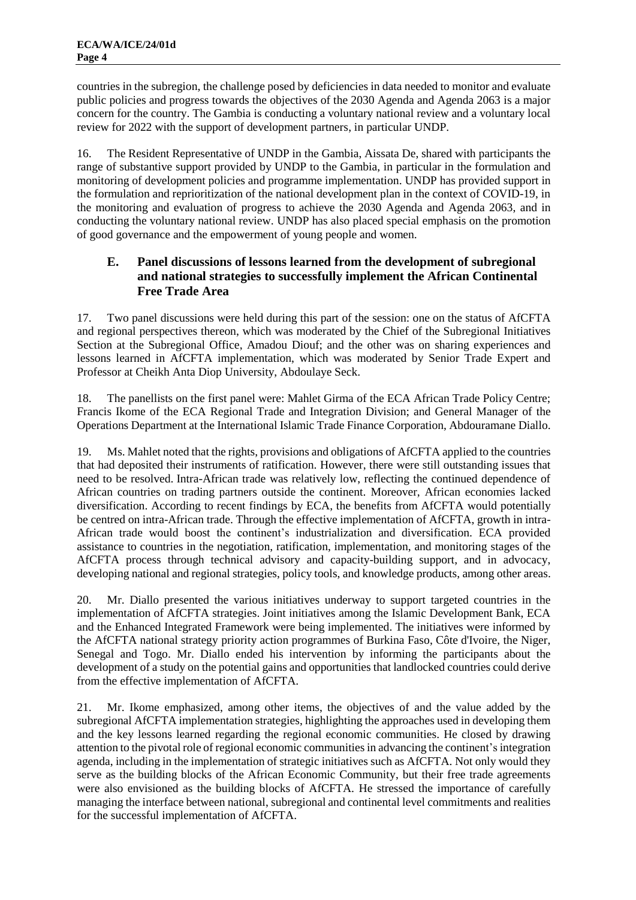countries in the subregion, the challenge posed by deficiencies in data needed to monitor and evaluate public policies and progress towards the objectives of the 2030 Agenda and Agenda 2063 is a major concern for the country. The Gambia is conducting a voluntary national review and a voluntary local review for 2022 with the support of development partners, in particular UNDP.

16. The Resident Representative of UNDP in the Gambia, Aissata De, shared with participants the range of substantive support provided by UNDP to the Gambia, in particular in the formulation and monitoring of development policies and programme implementation. UNDP has provided support in the formulation and reprioritization of the national development plan in the context of COVID-19, in the monitoring and evaluation of progress to achieve the 2030 Agenda and Agenda 2063, and in conducting the voluntary national review. UNDP has also placed special emphasis on the promotion of good governance and the empowerment of young people and women.

#### **E. Panel discussions of lessons learned from the development of subregional and national strategies to successfully implement the African Continental Free Trade Area**

17. Two panel discussions were held during this part of the session: one on the status of AfCFTA and regional perspectives thereon, which was moderated by the Chief of the Subregional Initiatives Section at the Subregional Office, Amadou Diouf; and the other was on sharing experiences and lessons learned in AfCFTA implementation, which was moderated by Senior Trade Expert and Professor at Cheikh Anta Diop University, Abdoulaye Seck.

18. The panellists on the first panel were: Mahlet Girma of the ECA African Trade Policy Centre; Francis Ikome of the ECA Regional Trade and Integration Division; and General Manager of the Operations Department at the International Islamic Trade Finance Corporation, Abdouramane Diallo.

19. Ms. Mahlet noted that the rights, provisions and obligations of AfCFTA applied to the countries that had deposited their instruments of ratification. However, there were still outstanding issues that need to be resolved. Intra-African trade was relatively low, reflecting the continued dependence of African countries on trading partners outside the continent. Moreover, African economies lacked diversification. According to recent findings by ECA, the benefits from AfCFTA would potentially be centred on intra-African trade. Through the effective implementation of AfCFTA, growth in intra-African trade would boost the continent's industrialization and diversification. ECA provided assistance to countries in the negotiation, ratification, implementation, and monitoring stages of the AfCFTA process through technical advisory and capacity-building support, and in advocacy, developing national and regional strategies, policy tools, and knowledge products, among other areas.

20. Mr. Diallo presented the various initiatives underway to support targeted countries in the implementation of AfCFTA strategies. Joint initiatives among the Islamic Development Bank, ECA and the Enhanced Integrated Framework were being implemented. The initiatives were informed by the AfCFTA national strategy priority action programmes of Burkina Faso, Côte d'Ivoire, the Niger, Senegal and Togo. Mr. Diallo ended his intervention by informing the participants about the development of a study on the potential gains and opportunities that landlocked countries could derive from the effective implementation of AfCFTA.

21. Mr. Ikome emphasized, among other items, the objectives of and the value added by the subregional AfCFTA implementation strategies, highlighting the approaches used in developing them and the key lessons learned regarding the regional economic communities. He closed by drawing attention to the pivotal role of regional economic communities in advancing the continent's integration agenda, including in the implementation of strategic initiatives such as AfCFTA. Not only would they serve as the building blocks of the African Economic Community, but their free trade agreements were also envisioned as the building blocks of AfCFTA. He stressed the importance of carefully managing the interface between national, subregional and continental level commitments and realities for the successful implementation of AfCFTA.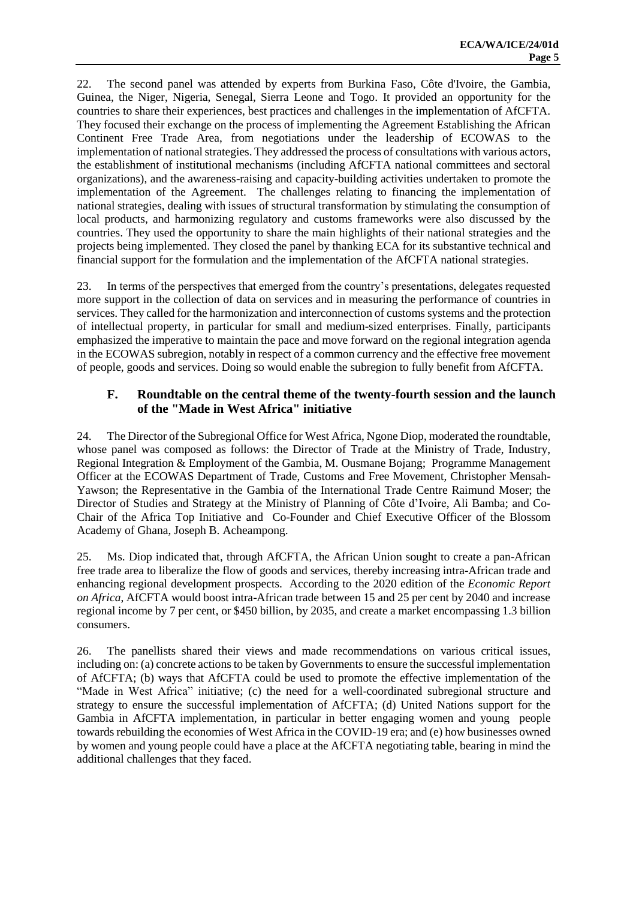22. The second panel was attended by experts from Burkina Faso, Côte d'Ivoire, the Gambia, Guinea, the Niger, Nigeria, Senegal, Sierra Leone and Togo. It provided an opportunity for the countries to share their experiences, best practices and challenges in the implementation of AfCFTA. They focused their exchange on the process of implementing the Agreement Establishing the African Continent Free Trade Area, from negotiations under the leadership of ECOWAS to the implementation of national strategies. They addressed the process of consultations with various actors, the establishment of institutional mechanisms (including AfCFTA national committees and sectoral organizations), and the awareness-raising and capacity-building activities undertaken to promote the implementation of the Agreement. The challenges relating to financing the implementation of national strategies, dealing with issues of structural transformation by stimulating the consumption of local products, and harmonizing regulatory and customs frameworks were also discussed by the countries. They used the opportunity to share the main highlights of their national strategies and the projects being implemented. They closed the panel by thanking ECA for its substantive technical and financial support for the formulation and the implementation of the AfCFTA national strategies.

23. In terms of the perspectives that emerged from the country's presentations, delegates requested more support in the collection of data on services and in measuring the performance of countries in services. They called for the harmonization and interconnection of customs systems and the protection of intellectual property, in particular for small and medium-sized enterprises. Finally, participants emphasized the imperative to maintain the pace and move forward on the regional integration agenda in the ECOWAS subregion, notably in respect of a common currency and the effective free movement of people, goods and services. Doing so would enable the subregion to fully benefit from AfCFTA.

#### **F. Roundtable on the central theme of the twenty-fourth session and the launch of the "Made in West Africa" initiative**

24. The Director of the Subregional Office for West Africa, Ngone Diop, moderated the roundtable, whose panel was composed as follows: the Director of Trade at the Ministry of Trade, Industry, Regional Integration & Employment of the Gambia, M. Ousmane Bojang; Programme Management Officer at the ECOWAS Department of Trade, Customs and Free Movement, Christopher Mensah-Yawson; the Representative in the Gambia of the International Trade Centre Raimund Moser; the Director of Studies and Strategy at the Ministry of Planning of Côte d'Ivoire, Ali Bamba; and Co-Chair of the Africa Top Initiative and Co-Founder and Chief Executive Officer of the Blossom Academy of Ghana, Joseph B. Acheampong.

25. Ms. Diop indicated that, through AfCFTA, the African Union sought to create a pan-African free trade area to liberalize the flow of goods and services, thereby increasing intra-African trade and enhancing regional development prospects. According to the 2020 edition of the *Economic Report on Africa*, AfCFTA would boost intra-African trade between 15 and 25 per cent by 2040 and increase regional income by 7 per cent, or \$450 billion, by 2035, and create a market encompassing 1.3 billion consumers.

26. The panellists shared their views and made recommendations on various critical issues, including on: (a) concrete actions to be taken by Governments to ensure the successful implementation of AfCFTA; (b) ways that AfCFTA could be used to promote the effective implementation of the "Made in West Africa" initiative; (c) the need for a well-coordinated subregional structure and strategy to ensure the successful implementation of AfCFTA; (d) United Nations support for the Gambia in AfCFTA implementation, in particular in better engaging women and young people towards rebuilding the economies of West Africa in the COVID-19 era; and (e) how businesses owned by women and young people could have a place at the AfCFTA negotiating table, bearing in mind the additional challenges that they faced.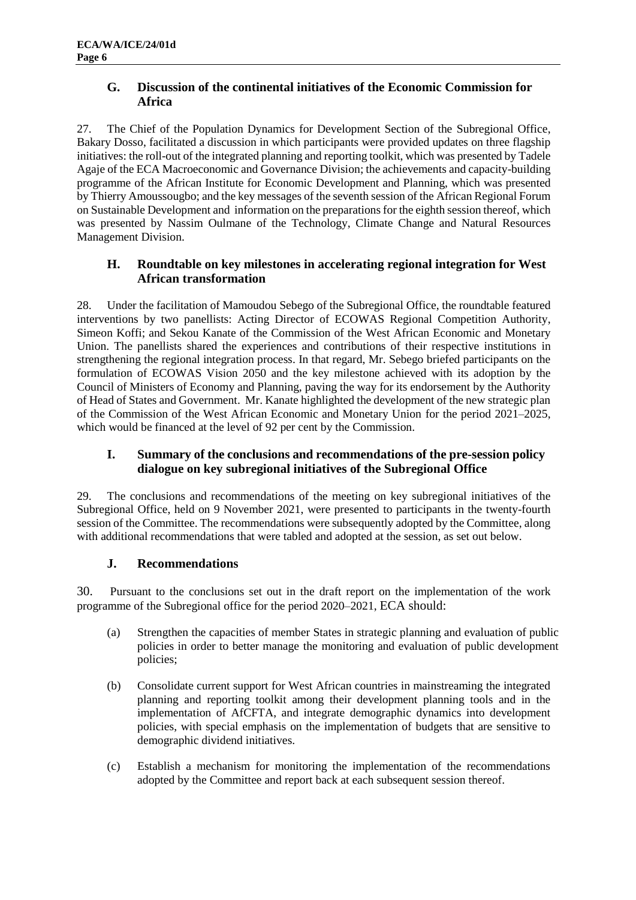#### **G. Discussion of the continental initiatives of the Economic Commission for Africa**

27. The Chief of the Population Dynamics for Development Section of the Subregional Office, Bakary Dosso, facilitated a discussion in which participants were provided updates on three flagship initiatives: the roll-out of the integrated planning and reporting toolkit, which was presented by Tadele Agaje of the ECA Macroeconomic and Governance Division; the achievements and capacity-building programme of the African Institute for Economic Development and Planning, which was presented by Thierry Amoussougbo; and the key messages of the seventh session of the African Regional Forum on Sustainable Development and information on the preparations for the eighth session thereof, which was presented by Nassim Oulmane of the Technology, Climate Change and Natural Resources Management Division.

#### **H. Roundtable on key milestones in accelerating regional integration for West African transformation**

28. Under the facilitation of Mamoudou Sebego of the Subregional Office, the roundtable featured interventions by two panellists: Acting Director of ECOWAS Regional Competition Authority, Simeon Koffi; and Sekou Kanate of the Commission of the West African Economic and Monetary Union. The panellists shared the experiences and contributions of their respective institutions in strengthening the regional integration process. In that regard, Mr. Sebego briefed participants on the formulation of ECOWAS Vision 2050 and the key milestone achieved with its adoption by the Council of Ministers of Economy and Planning, paving the way for its endorsement by the Authority of Head of States and Government. Mr. Kanate highlighted the development of the new strategic plan of the Commission of the West African Economic and Monetary Union for the period 2021–2025, which would be financed at the level of 92 per cent by the Commission.

### **I. Summary of the conclusions and recommendations of the pre-session policy dialogue on key subregional initiatives of the Subregional Office**

29. The conclusions and recommendations of the meeting on key subregional initiatives of the Subregional Office, held on 9 November 2021, were presented to participants in the twenty-fourth session of the Committee. The recommendations were subsequently adopted by the Committee, along with additional recommendations that were tabled and adopted at the session, as set out below.

### **J. Recommendations**

30. Pursuant to the conclusions set out in the draft report on the implementation of the work programme of the Subregional office for the period 2020–2021, ECA should:

- (a) Strengthen the capacities of member States in strategic planning and evaluation of public policies in order to better manage the monitoring and evaluation of public development policies;
- (b) Consolidate current support for West African countries in mainstreaming the integrated planning and reporting toolkit among their development planning tools and in the implementation of AfCFTA, and integrate demographic dynamics into development policies, with special emphasis on the implementation of budgets that are sensitive to demographic dividend initiatives.
- (c) Establish a mechanism for monitoring the implementation of the recommendations adopted by the Committee and report back at each subsequent session thereof.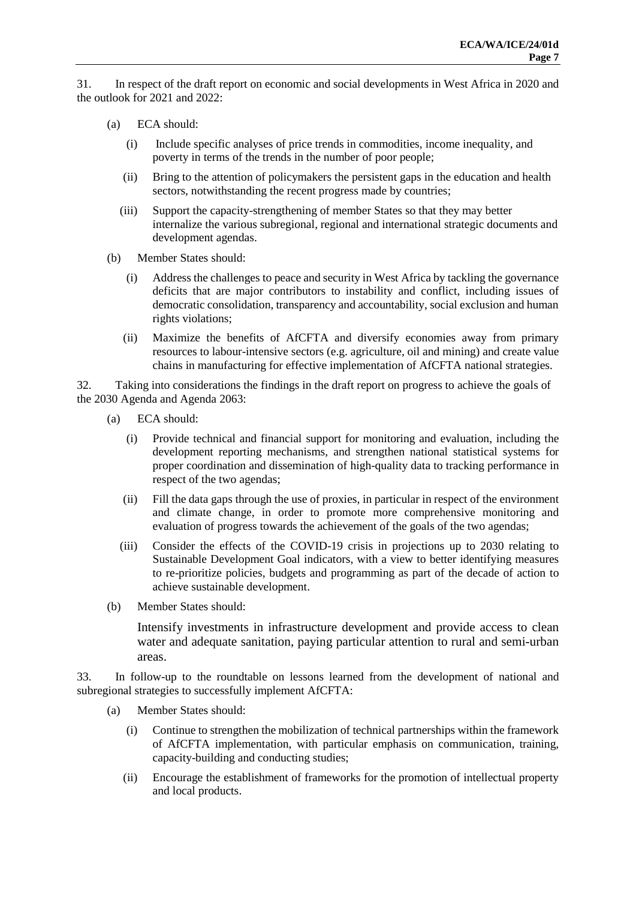31. In respect of the draft report on economic and social developments in West Africa in 2020 and the outlook for 2021 and 2022:

- (a) ECA should:
	- (i) Include specific analyses of price trends in commodities, income inequality, and poverty in terms of the trends in the number of poor people;
	- (ii) Bring to the attention of policymakers the persistent gaps in the education and health sectors, notwithstanding the recent progress made by countries;
	- (iii) Support the capacity-strengthening of member States so that they may better internalize the various subregional, regional and international strategic documents and development agendas.
- (b) Member States should:
	- (i) Address the challenges to peace and security in West Africa by tackling the governance deficits that are major contributors to instability and conflict, including issues of democratic consolidation, transparency and accountability, social exclusion and human rights violations;
	- (ii) Maximize the benefits of AfCFTA and diversify economies away from primary resources to labour-intensive sectors (e.g. agriculture, oil and mining) and create value chains in manufacturing for effective implementation of AfCFTA national strategies.

32. Taking into considerations the findings in the draft report on progress to achieve the goals of the 2030 Agenda and Agenda 2063:

- (a) ECA should:
	- (i) Provide technical and financial support for monitoring and evaluation, including the development reporting mechanisms, and strengthen national statistical systems for proper coordination and dissemination of high-quality data to tracking performance in respect of the two agendas;
	- (ii) Fill the data gaps through the use of proxies, in particular in respect of the environment and climate change, in order to promote more comprehensive monitoring and evaluation of progress towards the achievement of the goals of the two agendas;
	- (iii) Consider the effects of the COVID-19 crisis in projections up to 2030 relating to Sustainable Development Goal indicators, with a view to better identifying measures to re-prioritize policies, budgets and programming as part of the decade of action to achieve sustainable development.
- (b) Member States should:

Intensify investments in infrastructure development and provide access to clean water and adequate sanitation, paying particular attention to rural and semi-urban areas.

33. In follow-up to the roundtable on lessons learned from the development of national and subregional strategies to successfully implement AfCFTA:

- (a) Member States should:
	- (i) Continue to strengthen the mobilization of technical partnerships within the framework of AfCFTA implementation, with particular emphasis on communication, training, capacity-building and conducting studies;
	- (ii) Encourage the establishment of frameworks for the promotion of intellectual property and local products.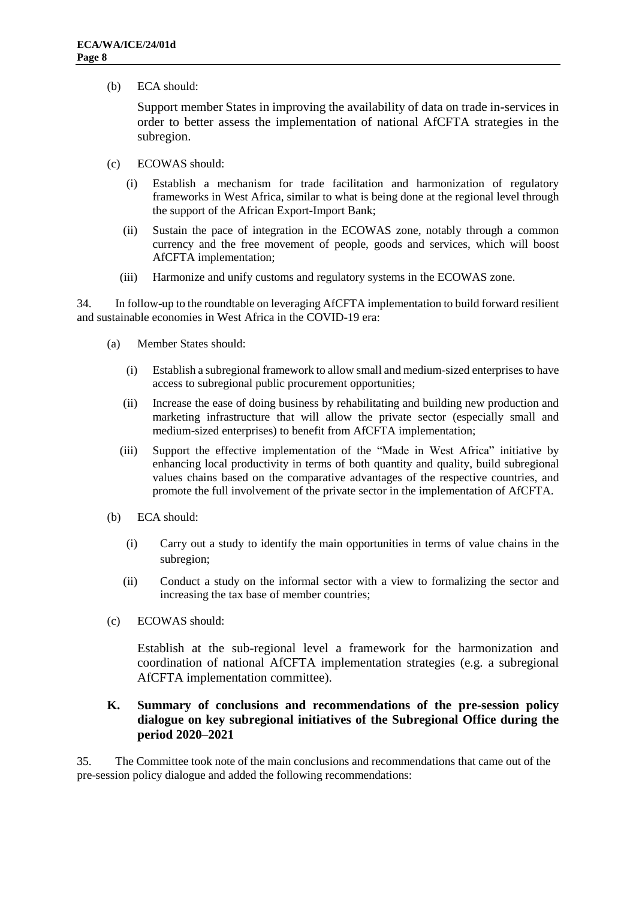(b) ECA should:

Support member States in improving the availability of data on trade in-services in order to better assess the implementation of national AfCFTA strategies in the subregion.

- (c) ECOWAS should:
	- (i) Establish a mechanism for trade facilitation and harmonization of regulatory frameworks in West Africa, similar to what is being done at the regional level through the support of the African Export-Import Bank;
	- (ii) Sustain the pace of integration in the ECOWAS zone, notably through a common currency and the free movement of people, goods and services, which will boost AfCFTA implementation;
	- (iii) Harmonize and unify customs and regulatory systems in the ECOWAS zone.

34. In follow-up to the roundtable on leveraging AfCFTA implementation to build forward resilient and sustainable economies in West Africa in the COVID-19 era:

- (a) Member States should:
	- (i) Establish a subregional framework to allow small and medium-sized enterprises to have access to subregional public procurement opportunities;
	- (ii) Increase the ease of doing business by rehabilitating and building new production and marketing infrastructure that will allow the private sector (especially small and medium-sized enterprises) to benefit from AfCFTA implementation;
	- (iii) Support the effective implementation of the "Made in West Africa" initiative by enhancing local productivity in terms of both quantity and quality, build subregional values chains based on the comparative advantages of the respective countries, and promote the full involvement of the private sector in the implementation of AfCFTA.
- (b) ECA should:
	- (i) Carry out a study to identify the main opportunities in terms of value chains in the subregion;
	- (ii) Conduct a study on the informal sector with a view to formalizing the sector and increasing the tax base of member countries;
- (c) ECOWAS should:

Establish at the sub-regional level a framework for the harmonization and coordination of national AfCFTA implementation strategies (e.g. a subregional AfCFTA implementation committee).

#### **K. Summary of conclusions and recommendations of the pre-session policy dialogue on key subregional initiatives of the Subregional Office during the period 2020–2021**

35. The Committee took note of the main conclusions and recommendations that came out of the pre-session policy dialogue and added the following recommendations: